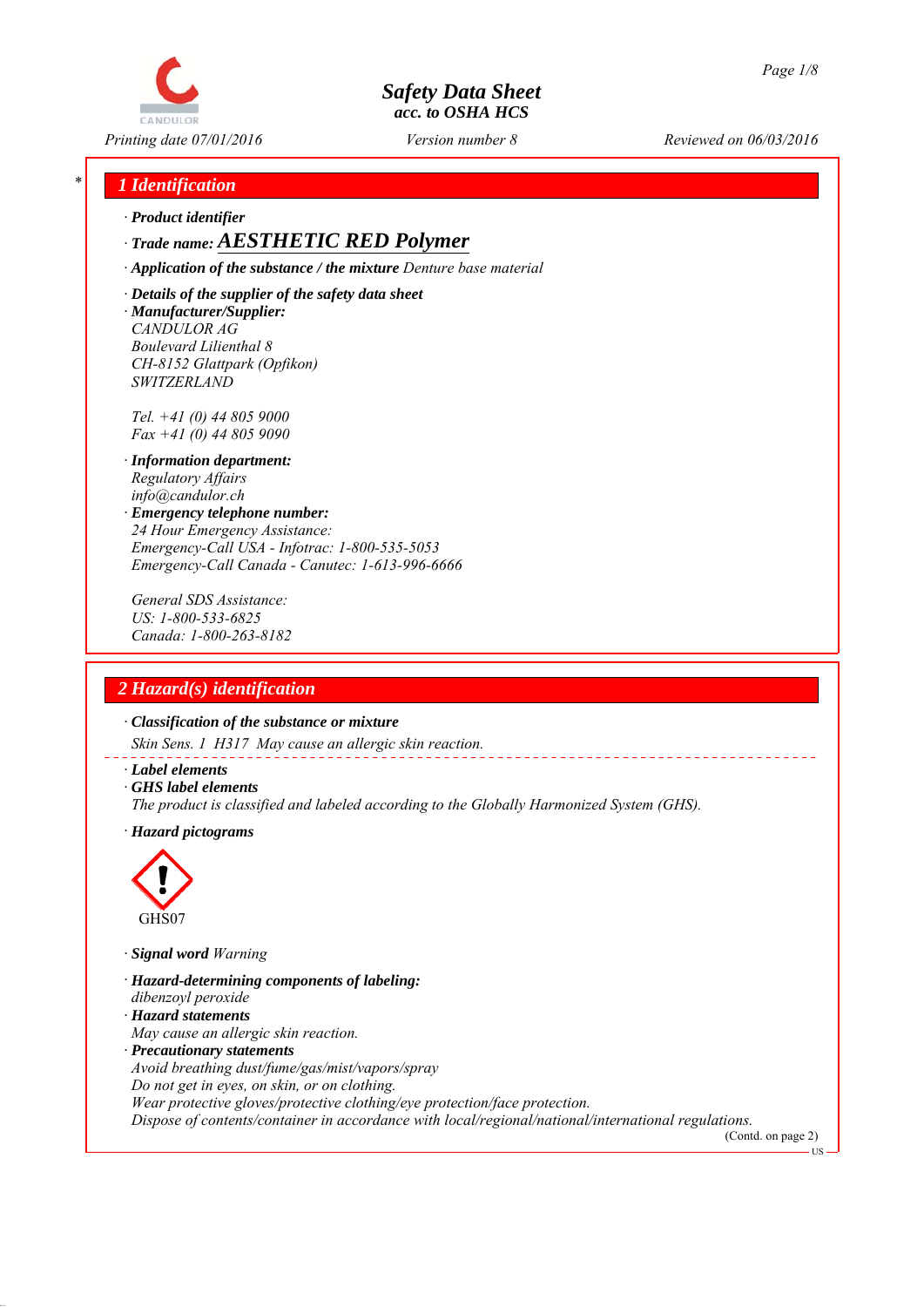

*Printing date 07/01/2016 Reviewed on 06/03/2016 Version number 8*

## *\* 1 Identification*

*∙ Product identifier*

*∙ Trade name: AESTHETIC RED Polymer*

*∙ Application of the substance / the mixture Denture base material*

*∙ Details of the supplier of the safety data sheet ∙ Manufacturer/Supplier: CANDULOR AG Boulevard Lilienthal 8 CH-8152 Glattpark (Opfikon) SWITZERLAND*

*Tel. +41 (0) 44 805 9000 Fax +41 (0) 44 805 9090*

- *∙ Information department: Regulatory Affairs info@candulor.ch*
- *∙ Emergency telephone number: 24 Hour Emergency Assistance: Emergency-Call USA - Infotrac: 1-800-535-5053 Emergency-Call Canada - Canutec: 1-613-996-6666*

*General SDS Assistance: US: 1-800-533-6825 Canada: 1-800-263-8182*

## *2 Hazard(s) identification*

*∙ Classification of the substance or mixture*

*Skin Sens. 1 H317 May cause an allergic skin reaction.*

- *∙ Label elements*
- *∙ GHS label elements*
- *The product is classified and labeled according to the Globally Harmonized System (GHS).*
- *∙ Hazard pictograms*



*∙ Signal word Warning*

- *∙ Hazard-determining components of labeling:*
- *dibenzoyl peroxide*
- *∙ Hazard statements*
- *May cause an allergic skin reaction.*
- *∙ Precautionary statements*

*Avoid breathing dust/fume/gas/mist/vapors/spray*

*Do not get in eyes, on skin, or on clothing.*

*Wear protective gloves/protective clothing/eye protection/face protection.*

*Dispose of contents/container in accordance with local/regional/national/international regulations.*

(Contd. on page 2) **TR**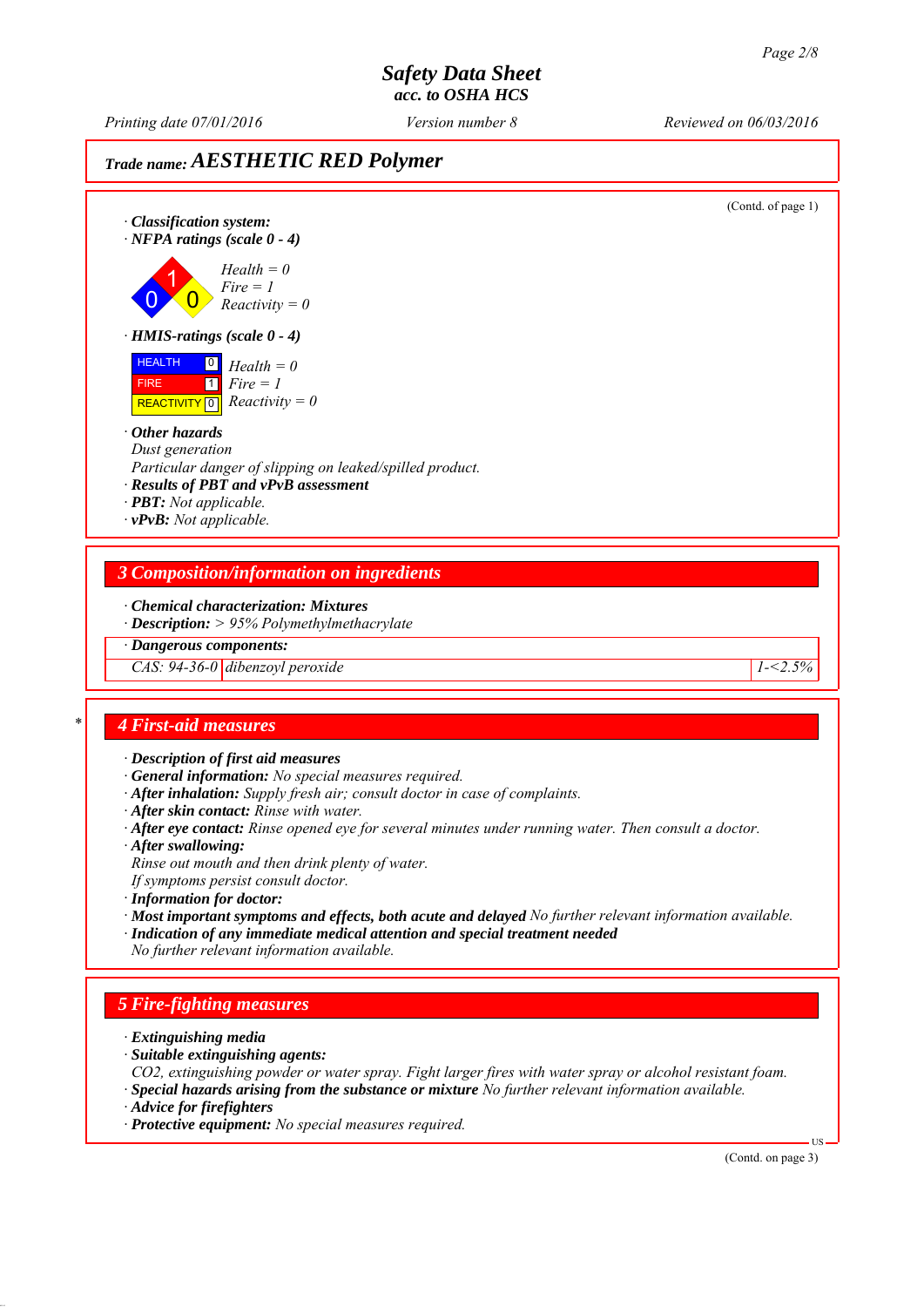*Printing date 07/01/2016 Reviewed on 06/03/2016 Version number 8*

# *Trade name: AESTHETIC RED Polymer*

(Contd. of page 1) *∙ Classification system: ∙ NFPA ratings (scale 0 - 4)* 0 1  $\overline{\mathbf{0}}$ *Health = 0 Fire = 1 Reactivity = 0 ∙ HMIS-ratings (scale 0 - 4)* HEALTH FIRE  $\overline{REACTIVITY \, 0}$  *Reactivity = 0* 0 *Health = 0*  $\overline{1}$ *Fire = 1 ∙ Other hazards Dust generation Particular danger of slipping on leaked/spilled product. ∙ Results of PBT and vPvB assessment ∙ PBT: Not applicable. ∙ vPvB: Not applicable. 3 Composition/information on ingredients ∙ Chemical characterization: Mixtures ∙ Description: > 95% Polymethylmethacrylate ∙ Dangerous components: CAS: 94-36-0 dibenzoyl peroxide 1-<2.5% \* 4 First-aid measures ∙ Description of first aid measures ∙ General information: No special measures required. ∙ After inhalation: Supply fresh air; consult doctor in case of complaints. ∙ After skin contact: Rinse with water. ∙ After eye contact: Rinse opened eye for several minutes under running water. Then consult a doctor. ∙ After swallowing: Rinse out mouth and then drink plenty of water. If symptoms persist consult doctor. ∙ Information for doctor: ∙ Most important symptoms and effects, both acute and delayed No further relevant information available. ∙ Indication of any immediate medical attention and special treatment needed No further relevant information available. 5 Fire-fighting measures ∙ Extinguishing media ∙ Suitable extinguishing agents: CO2, extinguishing powder or water spray. Fight larger fires with water spray or alcohol resistant foam. ∙ Special hazards arising from the substance or mixture No further relevant information available. ∙ Advice for firefighters ∙ Protective equipment: No special measures required.* US (Contd. on page 3)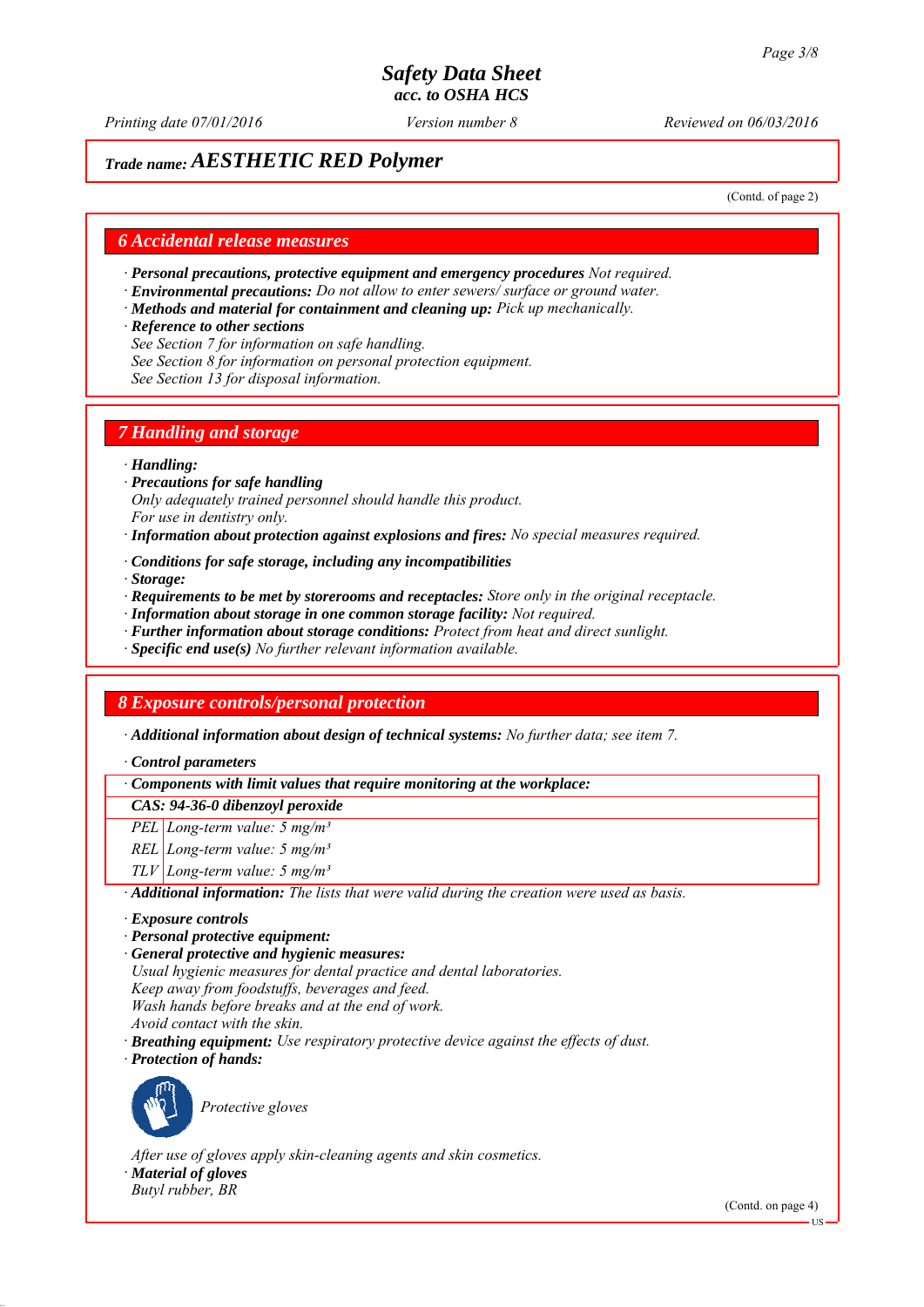*Printing date 07/01/2016 Reviewed on 06/03/2016 Version number 8*

# *Trade name: AESTHETIC RED Polymer*

(Contd. of page 2)

### *6 Accidental release measures*

- *∙ Personal precautions, protective equipment and emergency procedures Not required.*
- *∙ Environmental precautions: Do not allow to enter sewers/ surface or ground water.*
- *∙ Methods and material for containment and cleaning up: Pick up mechanically.*
- *∙ Reference to other sections*
- *See Section 7 for information on safe handling.*
- *See Section 8 for information on personal protection equipment.*
- *See Section 13 for disposal information.*

### *7 Handling and storage*

#### *∙ Handling:*

- *∙ Precautions for safe handling Only adequately trained personnel should handle this product. For use in dentistry only.*
- *∙ Information about protection against explosions and fires: No special measures required.*
- *∙ Conditions for safe storage, including any incompatibilities*
- *∙ Storage:*
- *∙ Requirements to be met by storerooms and receptacles: Store only in the original receptacle.*
- *∙ Information about storage in one common storage facility: Not required.*
- *∙ Further information about storage conditions: Protect from heat and direct sunlight.*
- *∙ Specific end use(s) No further relevant information available.*

# *8 Exposure controls/personal protection*

*∙ Additional information about design of technical systems: No further data; see item 7.*

*∙ Control parameters*

*∙ Components with limit values that require monitoring at the workplace:*

*CAS: 94-36-0 dibenzoyl peroxide*

- *PEL Long-term value: 5 mg/m³*
- *REL Long-term value: 5 mg/m³*
- *TLV Long-term value: 5 mg/m³*

*∙ Additional information: The lists that were valid during the creation were used as basis.*

- *∙ Exposure controls*
- *∙ Personal protective equipment:*
- *∙ General protective and hygienic measures:*
- *Usual hygienic measures for dental practice and dental laboratories.*
- *Keep away from foodstuffs, beverages and feed.*
- *Wash hands before breaks and at the end of work.*
- *Avoid contact with the skin.*
- *∙ Breathing equipment: Use respiratory protective device against the effects of dust.*
- *∙ Protection of hands:*



*Protective gloves*

*After use of gloves apply skin-cleaning agents and skin cosmetics. ∙ Material of gloves Butyl rubber, BR*

(Contd. on page 4)

US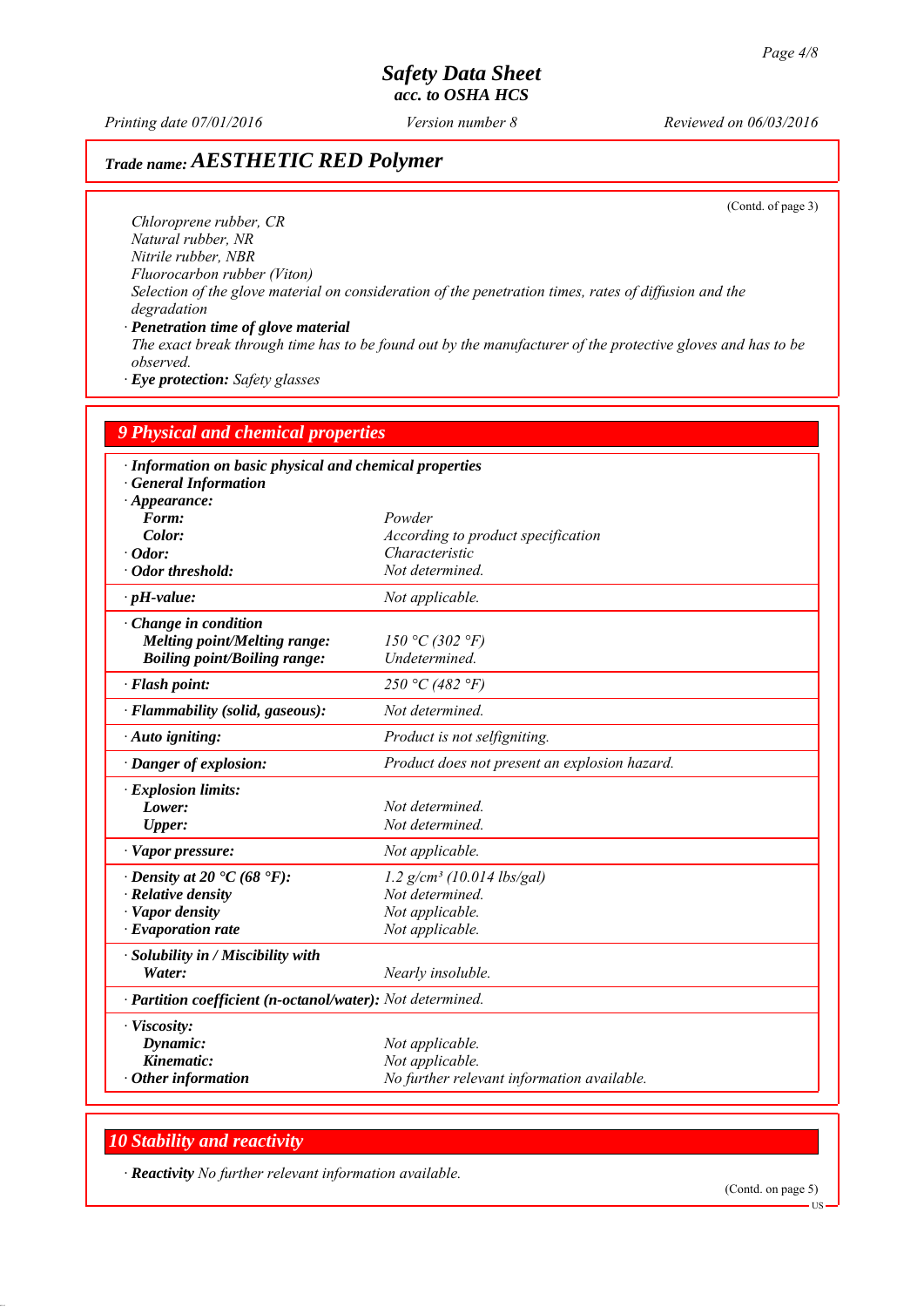*Printing date 07/01/2016 Reviewed on 06/03/2016 Version number 8*

# *Trade name: AESTHETIC RED Polymer*

(Contd. of page 3)

*Chloroprene rubber, CR Natural rubber, NR Nitrile rubber, NBR Fluorocarbon rubber (Viton) Selection of the glove material on consideration of the penetration times, rates of diffusion and the degradation ∙ Penetration time of glove material*

*The exact break through time has to be found out by the manufacturer of the protective gloves and has to be observed.*

*∙ Eye protection: Safety glasses*

| <b>9 Physical and chemical properties</b><br>· Information on basic physical and chemical properties<br>· General Information<br>$\cdot$ Appearance: |                                                                                  |
|------------------------------------------------------------------------------------------------------------------------------------------------------|----------------------------------------------------------------------------------|
|                                                                                                                                                      |                                                                                  |
| Color:                                                                                                                                               | According to product specification                                               |
| $\cdot$ Odor:                                                                                                                                        | Characteristic                                                                   |
| · Odor threshold:                                                                                                                                    | Not determined.                                                                  |
| $\cdot$ pH-value:                                                                                                                                    | Not applicable.                                                                  |
| $\cdot$ Change in condition<br><b>Melting point/Melting range:</b><br><b>Boiling point/Boiling range:</b>                                            | 150 °C (302 °F)<br>Undetermined.                                                 |
| · Flash point:                                                                                                                                       | 250 °C (482 °F)                                                                  |
| · Flammability (solid, gaseous):                                                                                                                     | Not determined.                                                                  |
| Auto igniting:                                                                                                                                       | Product is not selfigniting.                                                     |
| · Danger of explosion:                                                                                                                               | Product does not present an explosion hazard.                                    |
| · Explosion limits:                                                                                                                                  |                                                                                  |
| Lower:                                                                                                                                               | Not determined.                                                                  |
| <b>Upper:</b>                                                                                                                                        | Not determined.                                                                  |
| · Vapor pressure:                                                                                                                                    | Not applicable.                                                                  |
| $\cdot$ Density at 20 $\cdot$ C (68 $\cdot$ F):                                                                                                      | $1.2$ g/cm <sup>3</sup> (10.014 lbs/gal)                                         |
| · Relative density                                                                                                                                   | Not determined.                                                                  |
| · Vapor density                                                                                                                                      | Not applicable.                                                                  |
| $\cdot$ Evaporation rate                                                                                                                             | Not applicable.                                                                  |
| · Solubility in / Miscibility with<br>Water:                                                                                                         | Nearly insoluble.                                                                |
| · Partition coefficient (n-octanol/water): Not determined.                                                                                           |                                                                                  |
| · Viscosity:<br>Dynamic:<br>Kinematic:<br>$\cdot$ Other information                                                                                  | Not applicable.<br>Not applicable.<br>No further relevant information available. |

# *10 Stability and reactivity*

*∙ Reactivity No further relevant information available.*

(Contd. on page 5)

 $-11S$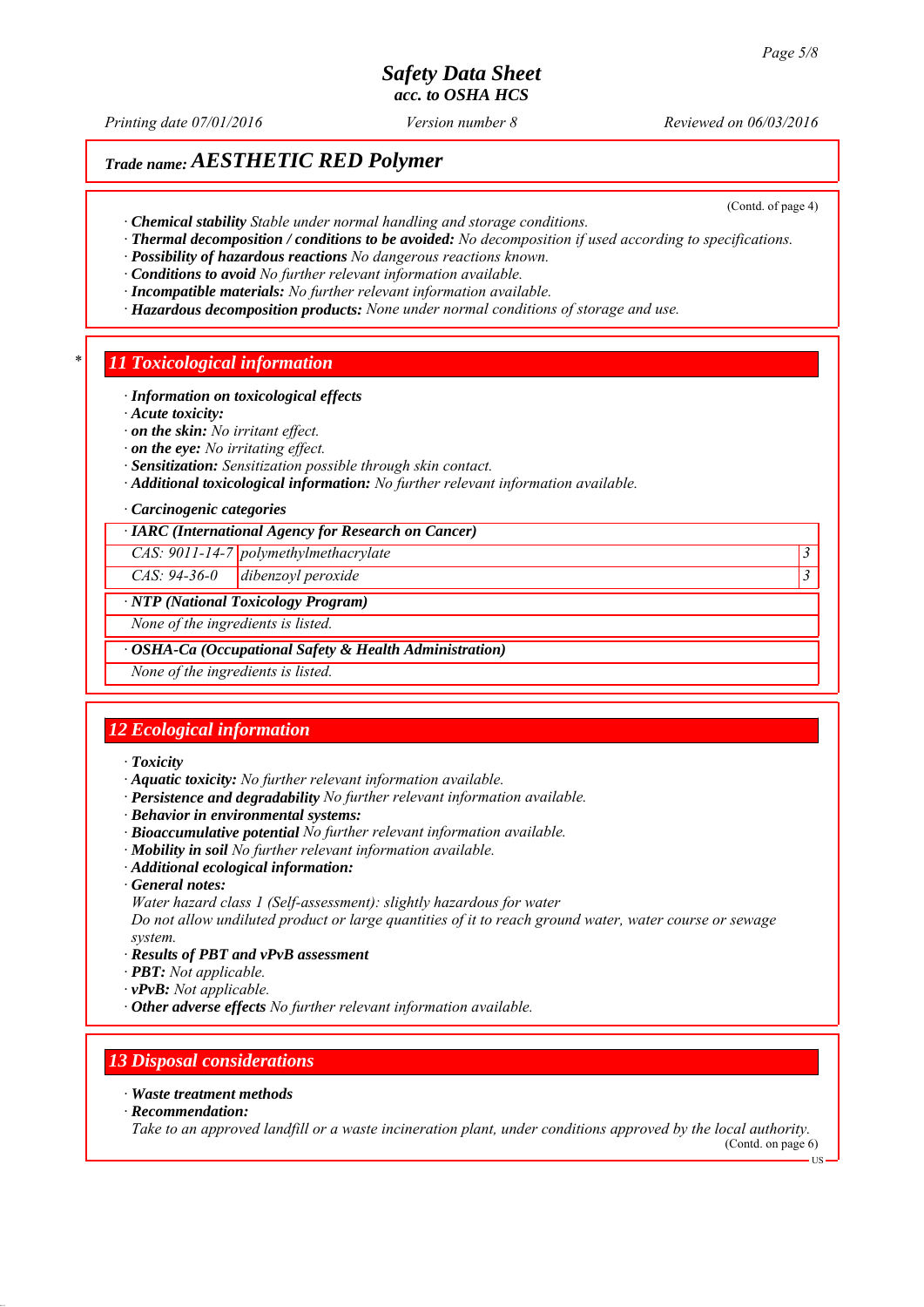*Printing date 07/01/2016 Reviewed on 06/03/2016 Version number 8*

(Contd. of page 4)

# *Trade name: AESTHETIC RED Polymer*

*∙ Chemical stability Stable under normal handling and storage conditions.*

- *∙ Thermal decomposition / conditions to be avoided: No decomposition if used according to specifications.*
- *∙ Possibility of hazardous reactions No dangerous reactions known.*

*∙ Conditions to avoid No further relevant information available.*

- *∙ Incompatible materials: No further relevant information available.*
- *∙ Hazardous decomposition products: None under normal conditions of storage and use.*

#### *\* 11 Toxicological information*

#### *∙ Information on toxicological effects*

*∙ Acute toxicity:*

- *∙ on the skin: No irritant effect.*
- *∙ on the eye: No irritating effect.*
- *∙ Sensitization: Sensitization possible through skin contact.*
- *∙ Additional toxicological information: No further relevant information available.*

#### *∙ Carcinogenic categories*

*∙ IARC (International Agency for Research on Cancer)*

*CAS: 9011-14-7 polymethylmethacrylate 3* 

*CAS: 94-36-0 dibenzoyl peroxide 3* 

#### *∙ NTP (National Toxicology Program)*

*None of the ingredients is listed.*

*∙ OSHA-Ca (Occupational Safety & Health Administration)*

*None of the ingredients is listed.*

### *12 Ecological information*

#### *∙ Toxicity*

- *∙ Aquatic toxicity: No further relevant information available.*
- *∙ Persistence and degradability No further relevant information available.*
- *∙ Behavior in environmental systems:*
- *∙ Bioaccumulative potential No further relevant information available.*
- *∙ Mobility in soil No further relevant information available.*
- *∙ Additional ecological information:*
- *∙ General notes:*

*Water hazard class 1 (Self-assessment): slightly hazardous for water*

*Do not allow undiluted product or large quantities of it to reach ground water, water course or sewage system.*

- *∙ Results of PBT and vPvB assessment*
- *∙ PBT: Not applicable.*
- *∙ vPvB: Not applicable.*
- *∙ Other adverse effects No further relevant information available.*

### *13 Disposal considerations*

- *∙ Waste treatment methods*
- *∙ Recommendation:*

*Take to an approved landfill or a waste incineration plant, under conditions approved by the local authority.*

(Contd. on page 6) US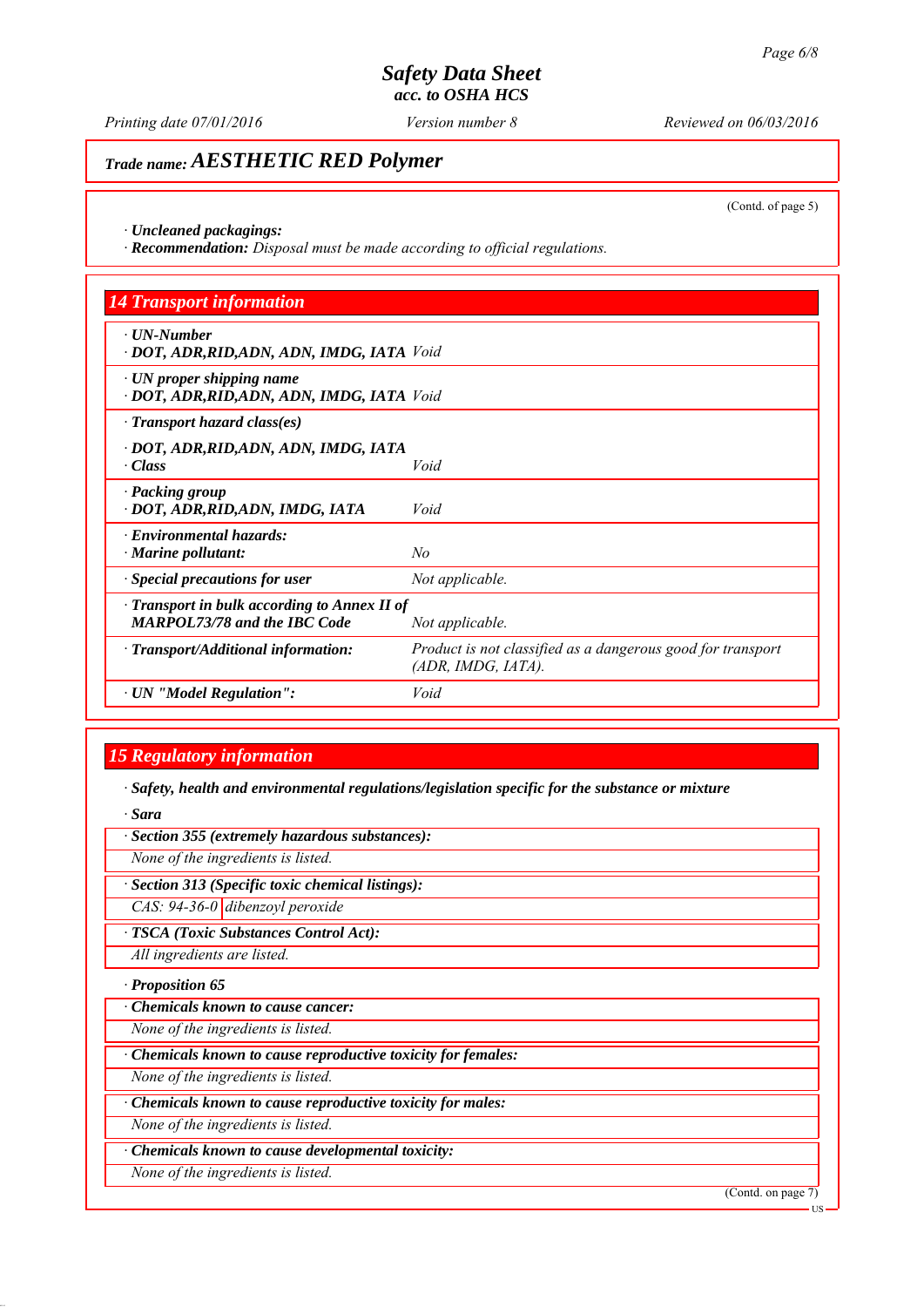*Printing date 07/01/2016 Reviewed on 06/03/2016 Version number 8*

# *Trade name: AESTHETIC RED Polymer*

(Contd. of page 5)

*∙ Uncleaned packagings:*

*∙ Recommendation: Disposal must be made according to official regulations.*

| <b>14 Transport information</b>                                                           |                                                                                   |
|-------------------------------------------------------------------------------------------|-----------------------------------------------------------------------------------|
| $\cdot$ UN-Number<br>· DOT, ADR, RID, ADN, ADN, IMDG, IATA Void                           |                                                                                   |
| $\cdot$ UN proper shipping name<br>· DOT, ADR, RID, ADN, ADN, IMDG, IATA Void             |                                                                                   |
| $\cdot$ Transport hazard class(es)                                                        |                                                                                   |
| · DOT, ADR, RID, ADN, ADN, IMDG, IATA<br>$\cdot Class$                                    | Void                                                                              |
| · Packing group<br>· DOT, ADR, RID, ADN, IMDG, IATA                                       | Void                                                                              |
| · Environmental hazards:<br>$\cdot$ Marine pollutant:                                     | No                                                                                |
| · Special precautions for user                                                            | Not applicable.                                                                   |
| $\cdot$ Transport in bulk according to Annex II of<br><b>MARPOL73/78 and the IBC Code</b> | Not applicable.                                                                   |
| $\cdot$ Transport/Additional information:                                                 | Product is not classified as a dangerous good for transport<br>(ADR, IMDG, IATA). |
| · UN "Model Regulation":                                                                  | Void                                                                              |

## *15 Regulatory information*

*∙ Safety, health and environmental regulations/legislation specific for the substance or mixture*

*∙ Sara*

*∙ Section 355 (extremely hazardous substances):*

*None of the ingredients is listed.*

*∙ Section 313 (Specific toxic chemical listings):*

*CAS: 94-36-0 dibenzoyl peroxide*

*∙ TSCA (Toxic Substances Control Act):*

*All ingredients are listed.*

*∙ Proposition 65*

*∙ Chemicals known to cause cancer:*

*None of the ingredients is listed.*

*∙ Chemicals known to cause reproductive toxicity for females:*

*None of the ingredients is listed.*

*∙ Chemicals known to cause reproductive toxicity for males:*

*None of the ingredients is listed.*

*∙ Chemicals known to cause developmental toxicity:*

*None of the ingredients is listed.*

(Contd. on page 7)

US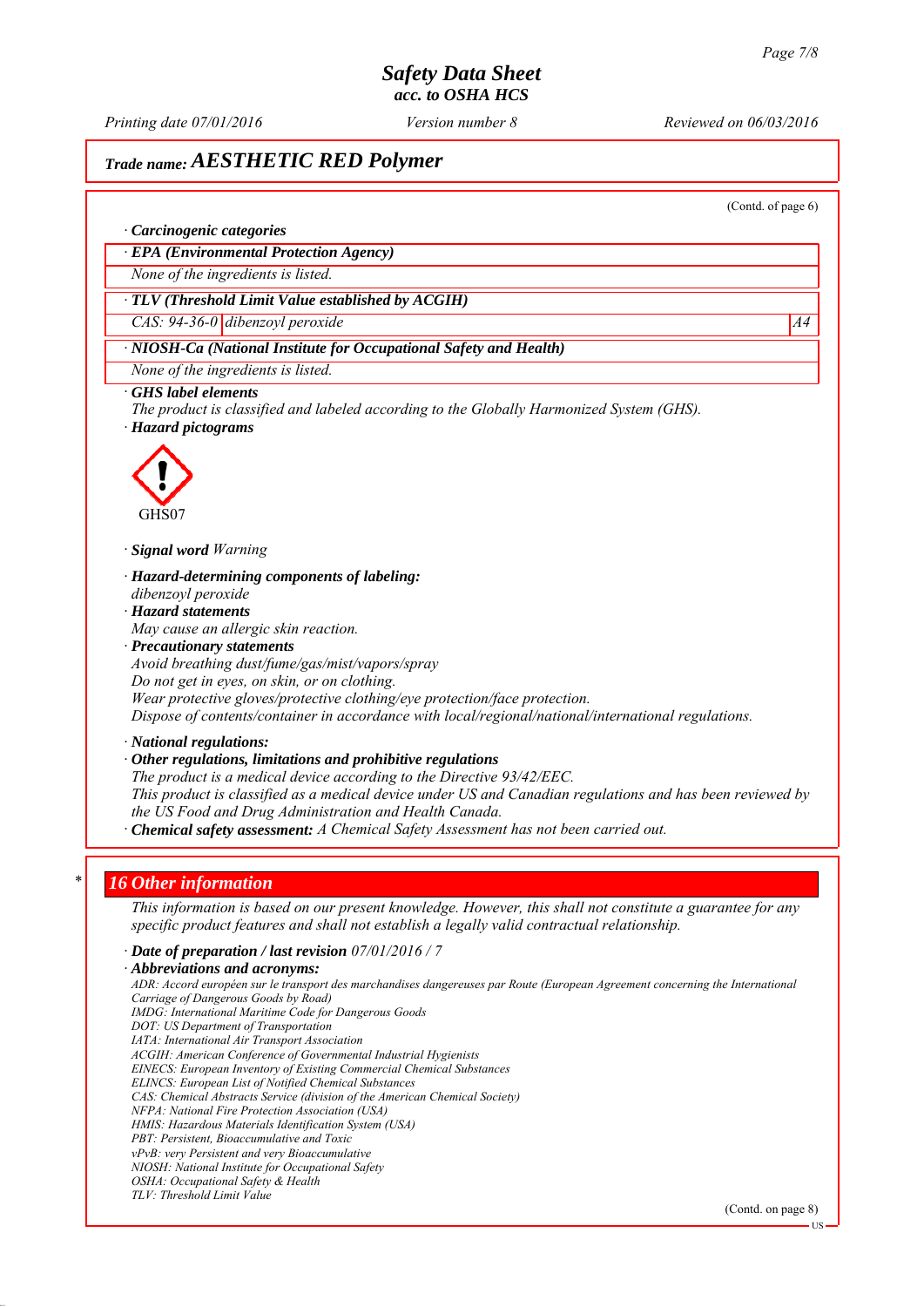*Printing date 07/01/2016 Reviewed on 06/03/2016 Version number 8*

# *Trade name: AESTHETIC RED Polymer*

(Contd. of page 6)

#### *∙ Carcinogenic categories*

*∙ EPA (Environmental Protection Agency)*

*None of the ingredients is listed.*

#### *∙ TLV (Threshold Limit Value established by ACGIH)*

*CAS: 94-36-0 dibenzoyl peroxide* A4

### *∙ NIOSH-Ca (National Institute for Occupational Safety and Health)*

*None of the ingredients is listed.*

#### *∙ GHS label elements*

*The product is classified and labeled according to the Globally Harmonized System (GHS). ∙ Hazard pictograms*



*∙ Signal word Warning*

- *∙ Hazard-determining components of labeling: dibenzoyl peroxide*
- *∙ Hazard statements*
- *May cause an allergic skin reaction.*
- *∙ Precautionary statements*
- *Avoid breathing dust/fume/gas/mist/vapors/spray*
- *Do not get in eyes, on skin, or on clothing.*
- *Wear protective gloves/protective clothing/eye protection/face protection.*

*Dispose of contents/container in accordance with local/regional/national/international regulations.*

*∙ National regulations:*

#### *∙ Other regulations, limitations and prohibitive regulations*

*The product is a medical device according to the Directive 93/42/EEC.*

*This product is classified as a medical device under US and Canadian regulations and has been reviewed by the US Food and Drug Administration and Health Canada.*

*∙ Chemical safety assessment: A Chemical Safety Assessment has not been carried out.*

#### *\* 16 Other information*

*This information is based on our present knowledge. However, this shall not constitute a guarantee for any specific product features and shall not establish a legally valid contractual relationship.*

*∙ Date of preparation / last revision 07/01/2016 / 7*

*∙ Abbreviations and acronyms:*

*ADR: Accord européen sur le transport des marchandises dangereuses par Route (European Agreement concerning the International Carriage of Dangerous Goods by Road) IMDG: International Maritime Code for Dangerous Goods DOT: US Department of Transportation IATA: International Air Transport Association ACGIH: American Conference of Governmental Industrial Hygienists EINECS: European Inventory of Existing Commercial Chemical Substances ELINCS: European List of Notified Chemical Substances CAS: Chemical Abstracts Service (division of the American Chemical Society) NFPA: National Fire Protection Association (USA) HMIS: Hazardous Materials Identification System (USA) PBT: Persistent, Bioaccumulative and Toxic vPvB: very Persistent and very Bioaccumulative NIOSH: National Institute for Occupational Safety OSHA: Occupational Safety & Health TLV: Threshold Limit Value*